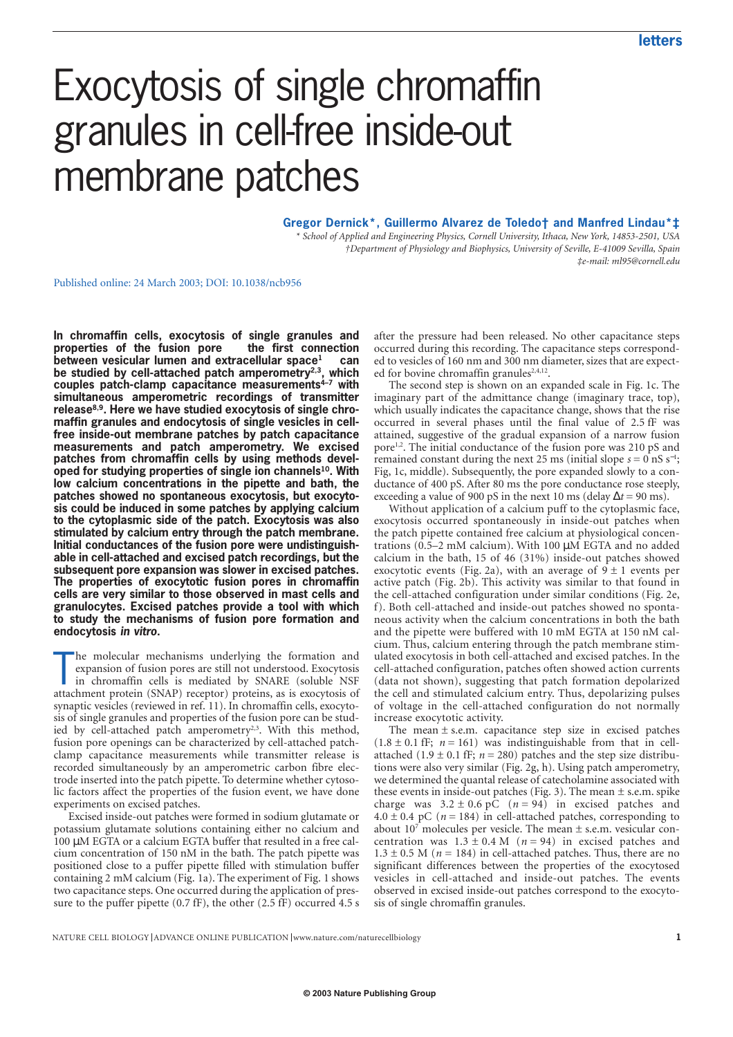# Exocytosis of single chromaffin granules in cell-free inside-out membrane patches

**Gregor Dernick\*, Guillermo Alvarez de Toledo† and Manfred Lindau\*‡** *\* School of Applied and Engineering Physics, Cornell University, Ithaca, New York, 14853-2501, USA †Department of Physiology and Biophysics, University of Seville, E-41009 Sevilla, Spain ‡e-mail: ml95@cornell.edu*

Published online: 24 March 2003; DOI: 10.1038/ncb956

**In chromaffin cells, exocytosis of single granules and properties of the fusion pore the first connection between vesicular lumen and extracellular space<sup>1</sup> — can be studied by cell-attached patch amperometry2,3, which couples patch-clamp capacitance measurements4–7 with simultaneous amperometric recordings of transmitter release8,9. Here we have studied exocytosis of single chromaffin granules and endocytosis of single vesicles in cellfree inside-out membrane patches by patch capacitance measurements and patch amperometry. We excised patches from chromaffin cells by using methods developed for studying properties of single ion channels10. With low calcium concentrations in the pipette and bath, the patches showed no spontaneous exocytosis, but exocytosis could be induced in some patches by applying calcium to the cytoplasmic side of the patch. Exocytosis was also stimulated by calcium entry through the patch membrane. Initial conductances of the fusion pore were undistinguishable in cell-attached and excised patch recordings, but the subsequent pore expansion was slower in excised patches. The properties of exocytotic fusion pores in chromaffin cells are very similar to those observed in mast cells and granulocytes. Excised patches provide a tool with which to study the mechanisms of fusion pore formation and endocytosis** *in vitro***.**

The molecular mechanisms underlying the formation and expansion of fusion pores are still not understood. Exocytosis in chromaffin cells is mediated by SNARE (soluble NSF attachment protein (SNAP) receptor) proteins, as is he molecular mechanisms underlying the formation and expansion of fusion pores are still not understood. Exocytosis in chromaffin cells is mediated by SNARE (soluble NSF synaptic vesicles (reviewed in ref. 11). In chromaffin cells, exocytosis of single granules and properties of the fusion pore can be studied by cell-attached patch amperometry<sup>2,3</sup>. With this method, fusion pore openings can be characterized by cell-attached patchclamp capacitance measurements while transmitter release is recorded simultaneously by an amperometric carbon fibre electrode inserted into the patch pipette. To determine whether cytosolic factors affect the properties of the fusion event, we have done experiments on excised patches.

Excised inside-out patches were formed in sodium glutamate or potassium glutamate solutions containing either no calcium and 100 µM EGTA or a calcium EGTA buffer that resulted in a free calcium concentration of 150 nM in the bath. The patch pipette was positioned close to a puffer pipette filled with stimulation buffer containing 2 mM calcium (Fig. 1a). The experiment of Fig. 1 shows two capacitance steps. One occurred during the application of pressure to the puffer pipette  $(0.7 \text{ fF})$ , the other  $(2.5 \text{ fF})$  occurred 4.5 s after the pressure had been released. No other capacitance steps occurred during this recording. The capacitance steps corresponded to vesicles of 160 nm and 300 nm diameter, sizes that are expected for bovine chromaffin granules<sup>2,4,12</sup>.

The second step is shown on an expanded scale in Fig. 1c. The imaginary part of the admittance change (imaginary trace, top), which usually indicates the capacitance change, shows that the rise occurred in several phases until the final value of 2.5 fF was attained, suggestive of the gradual expansion of a narrow fusion pore<sup>1,2</sup>. The initial conductance of the fusion pore was 210 pS and remained constant during the next 25 ms (initial slope  $s = 0$  nS s<sup>-1</sup>; Fig, 1c, middle). Subsequently, the pore expanded slowly to a conductance of 400 pS. After 80 ms the pore conductance rose steeply, exceeding a value of 900 pS in the next 10 ms (delay  $\Delta t = 90$  ms).

Without application of a calcium puff to the cytoplasmic face, exocytosis occurred spontaneously in inside-out patches when the patch pipette contained free calcium at physiological concentrations (0.5–2 mM calcium). With 100 µM EGTA and no added calcium in the bath, 15 of 46 (31%) inside-out patches showed exocytotic events (Fig. 2a), with an average of  $9 \pm 1$  events per active patch (Fig. 2b). This activity was similar to that found in the cell-attached configuration under similar conditions (Fig. 2e, f). Both cell-attached and inside-out patches showed no spontaneous activity when the calcium concentrations in both the bath and the pipette were buffered with 10 mM EGTA at 150 nM calcium. Thus, calcium entering through the patch membrane stimulated exocytosis in both cell-attached and excised patches. In the cell-attached configuration, patches often showed action currents (data not shown), suggesting that patch formation depolarized the cell and stimulated calcium entry. Thus, depolarizing pulses of voltage in the cell-attached configuration do not normally increase exocytotic activity.

The mean  $\pm$  s.e.m. capacitance step size in excised patches  $(1.8 \pm 0.1 \text{ fF}; n = 161)$  was indistinguishable from that in cellattached  $(1.9 \pm 0.1 \text{ fF}; n = 280)$  patches and the step size distributions were also very similar (Fig. 2g, h). Using patch amperometry, we determined the quantal release of catecholamine associated with these events in inside-out patches (Fig. 3). The mean  $\pm$  s.e.m. spike charge was  $3.2 \pm 0.6$  pC ( $n = 94$ ) in excised patches and  $4.0 \pm 0.4$  pC ( $n = 184$ ) in cell-attached patches, corresponding to about  $10<sup>7</sup>$  molecules per vesicle. The mean  $\pm$  s.e.m. vesicular concentration was  $1.3 \pm 0.4$  M ( $n = 94$ ) in excised patches and  $1.3 \pm 0.5$  M ( $n = 184$ ) in cell-attached patches. Thus, there are no significant differences between the properties of the exocytosed vesicles in cell-attached and inside-out patches. The events observed in excised inside-out patches correspond to the exocytosis of single chromaffin granules.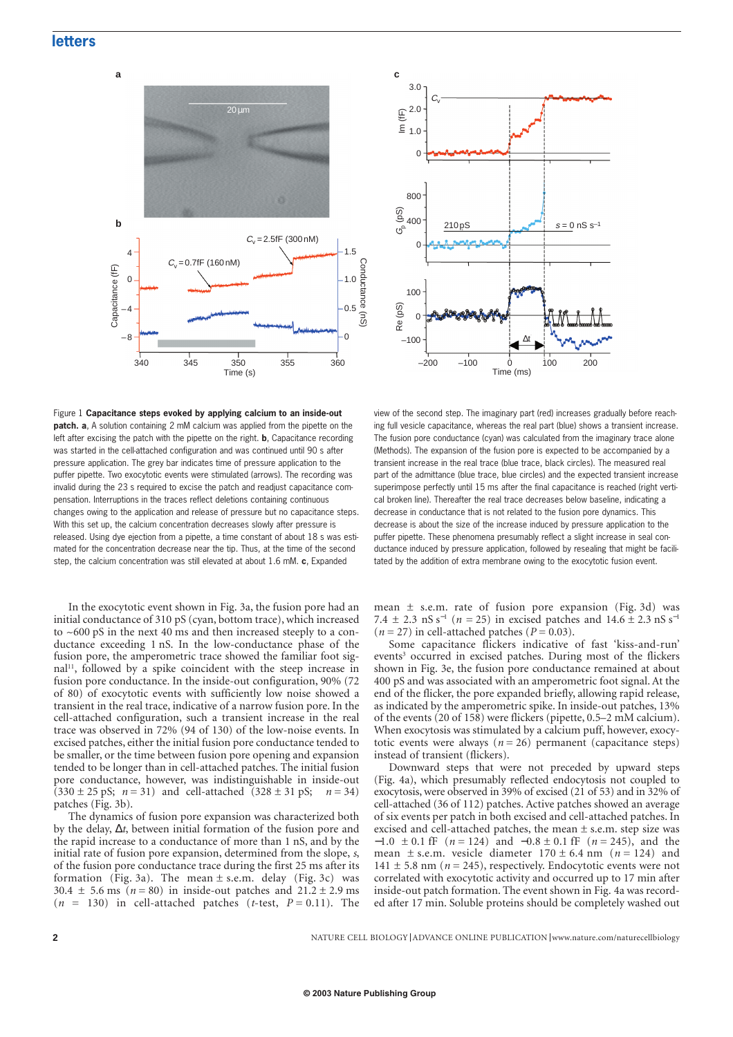

Figure 1 **Capacitance steps evoked by applying calcium to an inside-out patch.** a, A solution containing 2 mM calcium was applied from the pipette on the left after excising the patch with the pipette on the right. **b**, Capacitance recording was started in the cell-attached configuration and was continued until 90 s after pressure application. The grey bar indicates time of pressure application to the puffer pipette. Two exocytotic events were stimulated (arrows). The recording was invalid during the 23 s required to excise the patch and readjust capacitance compensation. Interruptions in the traces reflect deletions containing continuous changes owing to the application and release of pressure but no capacitance steps. With this set up, the calcium concentration decreases slowly after pressure is released. Using dye ejection from a pipette, a time constant of about 18 s was estimated for the concentration decrease near the tip. Thus, at the time of the second step, the calcium concentration was still elevated at about 1.6 mM. **c**, Expanded

In the exocytotic event shown in Fig. 3a, the fusion pore had an initial conductance of 310 pS (cyan, bottom trace), which increased to ~600 pS in the next 40 ms and then increased steeply to a conductance exceeding 1 nS. In the low-conductance phase of the fusion pore, the amperometric trace showed the familiar foot signal<sup>11</sup>, followed by a spike coincident with the steep increase in fusion pore conductance. In the inside-out configuration, 90% (72 of 80) of exocytotic events with sufficiently low noise showed a transient in the real trace, indicative of a narrow fusion pore. In the cell-attached configuration, such a transient increase in the real trace was observed in 72% (94 of 130) of the low-noise events. In excised patches, either the initial fusion pore conductance tended to be smaller, or the time between fusion pore opening and expansion tended to be longer than in cell-attached patches. The initial fusion pore conductance, however, was indistinguishable in inside-out  $(330 \pm 25 \text{ pS}; n = 31)$  and cell-attached  $(328 \pm 31 \text{ pS}; n = 34)$ patches (Fig. 3b).

The dynamics of fusion pore expansion was characterized both by the delay, ∆*t*, between initial formation of the fusion pore and the rapid increase to a conductance of more than 1 nS, and by the initial rate of fusion pore expansion, determined from the slope, *s*, of the fusion pore conductance trace during the first 25 ms after its formation (Fig. 3a). The mean  $\pm$  s.e.m. delay (Fig. 3c) was 30.4  $\pm$  5.6 ms ( $n = 80$ ) in inside-out patches and 21.2  $\pm$  2.9 ms  $(n = 130)$  in cell-attached patches (*t*-test,  $P = 0.11$ ). The



view of the second step. The imaginary part (red) increases gradually before reaching full vesicle capacitance, whereas the real part (blue) shows a transient increase. The fusion pore conductance (cyan) was calculated from the imaginary trace alone (Methods). The expansion of the fusion pore is expected to be accompanied by a transient increase in the real trace (blue trace, black circles). The measured real part of the admittance (blue trace, blue circles) and the expected transient increase superimpose perfectly until 15 ms after the final capacitance is reached (right vertical broken line). Thereafter the real trace decreases below baseline, indicating a decrease in conductance that is not related to the fusion pore dynamics. This decrease is about the size of the increase induced by pressure application to the puffer pipette. These phenomena presumably reflect a slight increase in seal conductance induced by pressure application, followed by resealing that might be facilitated by the addition of extra membrane owing to the exocytotic fusion event.

mean  $\pm$  s.e.m. rate of fusion pore expansion (Fig. 3d) was 7.4 ± 2.3 nS s<sup>−</sup><sup>1</sup> (*n* = 25) in excised patches and 14.6 ± 2.3 nS s<sup>−</sup><sup>1</sup>  $(n = 27)$  in cell-attached patches  $(P = 0.03)$ .

Some capacitance flickers indicative of fast 'kiss-and-run' events<sup>3</sup> occurred in excised patches. During most of the flickers shown in Fig. 3e, the fusion pore conductance remained at about 400 pS and was associated with an amperometric foot signal. At the end of the flicker, the pore expanded briefly, allowing rapid release, as indicated by the amperometric spike. In inside-out patches, 13% of the events (20 of 158) were flickers (pipette, 0.5–2 mM calcium). When exocytosis was stimulated by a calcium puff, however, exocytotic events were always  $(n = 26)$  permanent (capacitance steps) instead of transient (flickers).

Downward steps that were not preceded by upward steps (Fig. 4a), which presumably reflected endocytosis not coupled to exocytosis, were observed in 39% of excised (21 of 53) and in 32% of cell-attached (36 of 112) patches. Active patches showed an average of six events per patch in both excised and cell-attached patches. In excised and cell-attached patches, the mean  $\pm$  s.e.m. step size was −1.0 ± 0.1 fF (*n* = 124) and −0.8 ± 0.1 fF (*n* = 245), and the mean  $\pm$  s.e.m. vesicle diameter  $170 \pm 6.4$  nm ( $n = 124$ ) and  $141 \pm 5.8$  nm ( $n = 245$ ), respectively. Endocytotic events were not correlated with exocytotic activity and occurred up to 17 min after inside-out patch formation. The event shown in Fig. 4a was recorded after 17 min. Soluble proteins should be completely washed out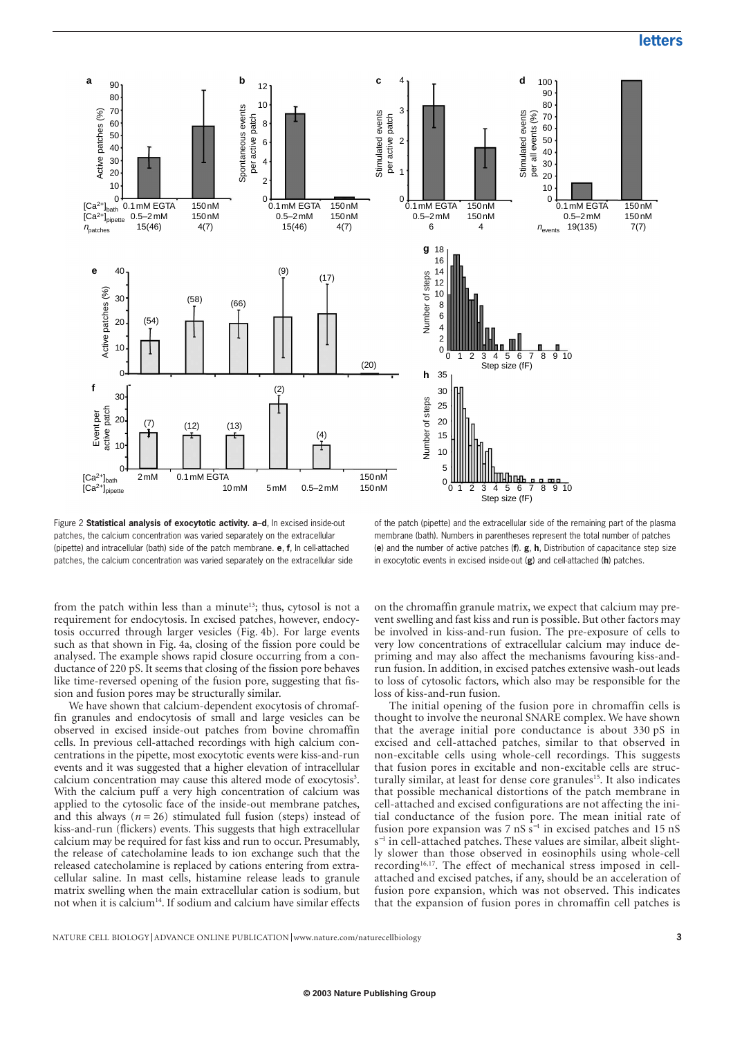

Figure 2 **Statistical analysis of exocytotic activity. a**–**d**, In excised inside-out patches, the calcium concentration was varied separately on the extracellular (pipette) and intracellular (bath) side of the patch membrane. **e**, **f**, In cell-attached patches, the calcium concentration was varied separately on the extracellular side

of the patch (pipette) and the extracellular side of the remaining part of the plasma membrane (bath). Numbers in parentheses represent the total number of patches (**e**) and the number of active patches (**f**). **g**, **h**, Distribution of capacitance step size in exocytotic events in excised inside-out (**g**) and cell-attached (**h**) patches.

from the patch within less than a minute<sup>13</sup>; thus, cytosol is not a requirement for endocytosis. In excised patches, however, endocytosis occurred through larger vesicles (Fig. 4b). For large events such as that shown in Fig. 4a, closing of the fission pore could be analysed. The example shows rapid closure occurring from a conductance of 220 pS. It seems that closing of the fission pore behaves like time-reversed opening of the fusion pore, suggesting that fission and fusion pores may be structurally similar.

We have shown that calcium-dependent exocytosis of chromaffin granules and endocytosis of small and large vesicles can be observed in excised inside-out patches from bovine chromaffin cells. In previous cell-attached recordings with high calcium concentrations in the pipette, most exocytotic events were kiss-and-run events and it was suggested that a higher elevation of intracellular calcium concentration may cause this altered mode of exocytosis<sup>3</sup>. With the calcium puff a very high concentration of calcium was applied to the cytosolic face of the inside-out membrane patches, and this always  $(n = 26)$  stimulated full fusion (steps) instead of kiss-and-run (flickers) events. This suggests that high extracellular calcium may be required for fast kiss and run to occur. Presumably, the release of catecholamine leads to ion exchange such that the released catecholamine is replaced by cations entering from extracellular saline. In mast cells, histamine release leads to granule matrix swelling when the main extracellular cation is sodium, but not when it is calcium<sup>14</sup>. If sodium and calcium have similar effects on the chromaffin granule matrix, we expect that calcium may prevent swelling and fast kiss and run is possible. But other factors may be involved in kiss-and-run fusion. The pre-exposure of cells to very low concentrations of extracellular calcium may induce depriming and may also affect the mechanisms favouring kiss-andrun fusion. In addition, in excised patches extensive wash-out leads to loss of cytosolic factors, which also may be responsible for the loss of kiss-and-run fusion.

The initial opening of the fusion pore in chromaffin cells is thought to involve the neuronal SNARE complex. We have shown that the average initial pore conductance is about 330 pS in excised and cell-attached patches, similar to that observed in non-excitable cells using whole-cell recordings. This suggests that fusion pores in excitable and non-excitable cells are structurally similar, at least for dense core granules<sup>15</sup>. It also indicates that possible mechanical distortions of the patch membrane in cell-attached and excised configurations are not affecting the initial conductance of the fusion pore. The mean initial rate of fusion pore expansion was 7 nS  $\bar{s}^{-1}$  in excised patches and 15 nS s<sup>−</sup><sup>1</sup> in cell-attached patches. These values are similar, albeit slightly slower than those observed in eosinophils using whole-cell recording<sup>16,17</sup>. The effect of mechanical stress imposed in cellattached and excised patches, if any, should be an acceleration of fusion pore expansion, which was not observed. This indicates that the expansion of fusion pores in chromaffin cell patches is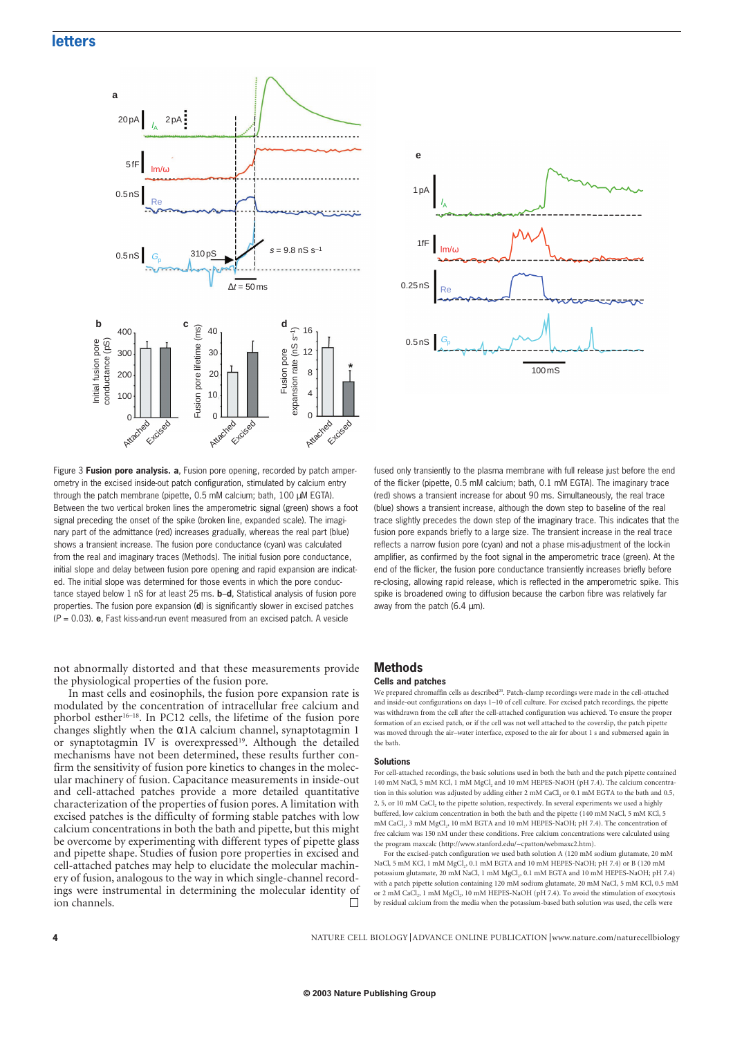



Figure 3 **Fusion pore analysis. a**, Fusion pore opening, recorded by patch amperometry in the excised inside-out patch configuration, stimulated by calcium entry through the patch membrane (pipette, 0.5 mM calcium; bath, 100  $\mu$ M EGTA). Between the two vertical broken lines the amperometric signal (green) shows a foot signal preceding the onset of the spike (broken line, expanded scale). The imaginary part of the admittance (red) increases gradually, whereas the real part (blue) shows a transient increase. The fusion pore conductance (cyan) was calculated from the real and imaginary traces (Methods). The initial fusion pore conductance, initial slope and delay between fusion pore opening and rapid expansion are indicated. The initial slope was determined for those events in which the pore conductance stayed below 1 nS for at least 25 ms. **b**–**d**, Statistical analysis of fusion pore properties. The fusion pore expansion (**d**) is significantly slower in excised patches (*P* = 0.03). **e**, Fast kiss-and-run event measured from an excised patch. A vesicle

not abnormally distorted and that these measurements provide the physiological properties of the fusion pore.

In mast cells and eosinophils, the fusion pore expansion rate is modulated by the concentration of intracellular free calcium and phorbol esther<sup>16–18</sup>. In PC12 cells, the lifetime of the fusion pore changes slightly when the α1A calcium channel, synaptotagmin 1 or synaptotagmin IV is overexpressed<sup>19</sup>. Although the detailed mechanisms have not been determined, these results further confirm the sensitivity of fusion pore kinetics to changes in the molecular machinery of fusion. Capacitance measurements in inside-out and cell-attached patches provide a more detailed quantitative characterization of the properties of fusion pores. A limitation with excised patches is the difficulty of forming stable patches with low calcium concentrations in both the bath and pipette, but this might be overcome by experimenting with different types of pipette glass and pipette shape. Studies of fusion pore properties in excised and cell-attached patches may help to elucidate the molecular machinery of fusion, analogous to the way in which single-channel recordings were instrumental in determining the molecular identity of ion channels ion channels.

fused only transiently to the plasma membrane with full release just before the end of the flicker (pipette, 0.5 mM calcium; bath, 0.1 mM EGTA). The imaginary trace (red) shows a transient increase for about 90 ms. Simultaneously, the real trace (blue) shows a transient increase, although the down step to baseline of the real trace slightly precedes the down step of the imaginary trace. This indicates that the fusion pore expands briefly to a large size. The transient increase in the real trace reflects a narrow fusion pore (cyan) and not a phase mis-adjustment of the lock-in amplifier, as confirmed by the foot signal in the amperometric trace (green). At the end of the flicker, the fusion pore conductance transiently increases briefly before re-closing, allowing rapid release, which is reflected in the amperometric spike. This spike is broadened owing to diffusion because the carbon fibre was relatively far away from the patch (6.4 um).

# **Methods**

## **Cells and patches**

We prepared chromaffin cells as described<sup>20</sup>. Patch-clamp recordings were made in the cell-attached and inside-out configurations on days 1–10 of cell culture. For excised patch recordings, the pipette was withdrawn from the cell after the cell-attached configuration was achieved. To ensure the proper formation of an excised patch, or if the cell was not well attached to the coverslip, the patch pipette was moved through the air–water interface, exposed to the air for about 1 s and submersed again in the bath.

## **Solutions**

For cell-attached recordings, the basic solutions used in both the bath and the patch pipette contained 140 mM NaCl, 5 mM KCl, 1 mM MgCl, and 10 mM HEPES-NaOH (pH 7.4). The calcium concentration in this solution was adjusted by adding either 2 mM CaCl, or 0.1 mM EGTA to the bath and 0.5, 2, 5, or 10 mM CaCl, to the pipette solution, respectively. In several experiments we used a highly buffered, low calcium concentration in both the bath and the pipette (140 mM NaCl, 5 mM KCl, 5 mM CaCl<sub>2</sub>, 3 mM MgCl<sub>2</sub>, 10 mM EGTA and 10 mM HEPES-NaOH; pH 7.4). The concentration of free calcium was 150 nM under these conditions. Free calcium concentrations were calculated using the program maxcalc (http://www.stanford.edu/~cpatton/webmaxc2.htm).

For the excised-patch configuration we used bath solution A (120 mM sodium glutamate, 20 mM NaCl, 5 mM KCl, 1 mM MgCl<sub>2</sub>, 0.1 mM EGTA and 10 mM HEPES-NaOH; pH 7.4) or B (120 mM potassium glutamate, 20 mM NaCl, 1 mM MgCl<sub>2</sub>, 0.1 mM EGTA and 10 mM HEPES-NaOH; pH 7.4) with a patch pipette solution containing 120 mM sodium glutamate, 20 mM NaCl, 5 mM KCl, 0.5 mM or 2 mM CaCl<sub>2</sub>, 1 mM MgCl<sub>2</sub>, 10 mM HEPES-NaOH (pH 7.4). To avoid the stimulation of exocytosis by residual calcium from the media when the potassium-based bath solution was used, the cells were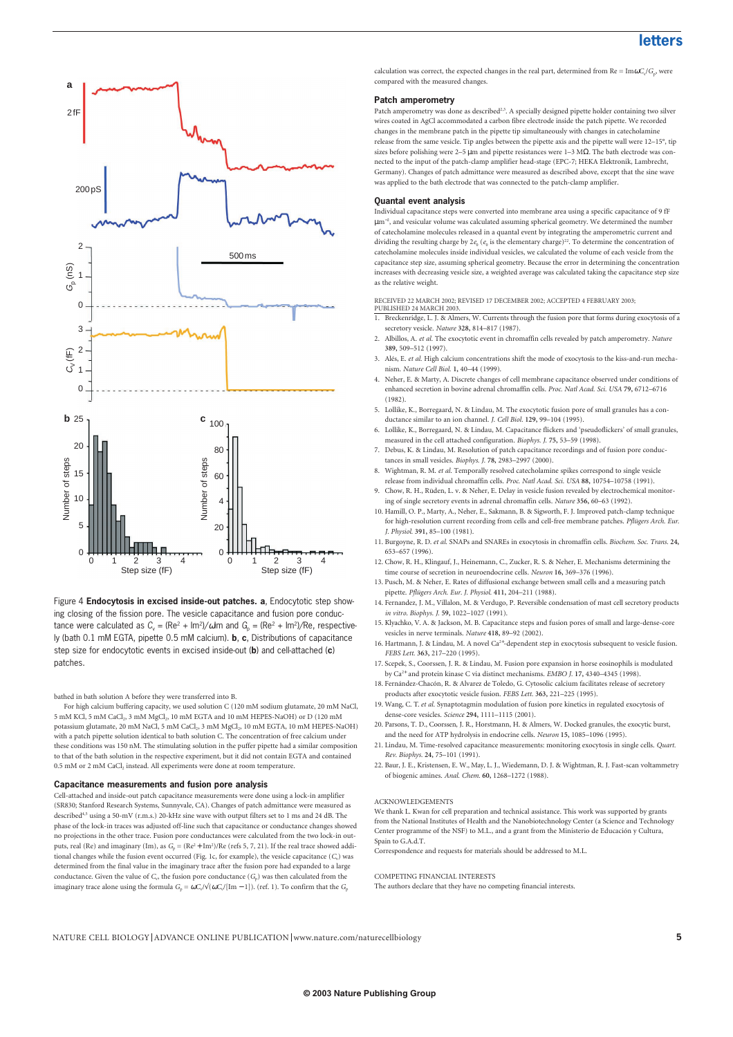



Figure 4 **Endocytosis in excised inside-out patches. a**, Endocytotic step showing closing of the fission pore. The vesicle capacitance and fusion pore conductance were calculated as  $C_v = (Re^2 + Im^2)/\omega$ lm and  $G_p = (Re^2 + Im^2)/Re$ , respectively (bath 0.1 mM EGTA, pipette 0.5 mM calcium). **b**, **c**, Distributions of capacitance step size for endocytotic events in excised inside-out (**b**) and cell-attached (**c**) patches.

bathed in bath solution A before they were transferred into B.

For high calcium buffering capacity, we used solution C (120 mM sodium glutamate, 20 mM NaCl, 5 mM KCl, 5 mM CaCl<sub>2</sub>, 3 mM MgCl<sub>2</sub>, 10 mM EGTA and 10 mM HEPES-NaOH) or D (120 mM potassium glutamate, 20 mM NaCl, 5 mM CaCl,, 3 mM MgCl,, 10 mM EGTA, 10 mM HEPES-NaOH) with a patch pipette solution identical to bath solution C. The concentration of free calcium under these conditions was 150 nM. The stimulating solution in the puffer pipette had a similar composition to that of the bath solution in the respective experiment, but it did not contain EGTA and contained 0.5 mM or 2 mM CaCl, instead. All experiments were done at room temperature.

### **Capacitance measurements and fusion pore analysis**

Cell-attached and inside-out patch capacitance measurements were done using a lock-in amplifier (SR830; Stanford Research Systems, Sunnyvale, CA). Changes of patch admittance were measured as described<sup>4,5</sup> using a 50-mV (r.m.s.) 20-kHz sine wave with output filters set to 1 ms and 24 dB. The phase of the lock-in traces was adjusted off-line such that capacitance or conductance changes showed no projections in the other trace. Fusion pore conductances were calculated from the two lock-in outputs, real (Re) and imaginary (Im), as  $G_p = (\text{Re}^2 + \text{Im}^2)/\text{Re}$  (refs 5, 7, 21). If the real trace showed additional changes while the fusion event occurred (Fig. 1c, for example), the vesicle capacitance (*C<sub>v</sub>*) was determined from the final value in the imaginary trace after the fusion pore had expanded to a large conductance. Given the value of  $C_{\varphi}$ , the fusion pore conductance  $(G_{\varphi})$  was then calculated from the imaginary trace alone using the formula  $G_p = \omega C_v / \sqrt{\omega C_v / [\text{Im} - 1]}$ . (ref. 1). To confirm that the  $G_p$ 

calculation was correct, the expected changes in the real part, determined from Re =  $\text{Im}\omega C/\textit{G}_{\text{p}}$ , were compared with the measured changes.

## **Patch amperometry**

Patch amperometry was done as described<sup>2,3</sup>. A specially designed pipette holder containing two silver wires coated in AgCl accommodated a carbon fibre electrode inside the patch pipette. We recorded changes in the membrane patch in the pipette tip simultaneously with changes in catecholamine release from the same vesicle. Tip angles between the pipette axis and the pipette wall were 12–15°, tip sizes before polishing were 2–5 µm and pipette resistances were 1–3 MΩ. The bath electrode was connected to the input of the patch-clamp amplifier head-stage (EPC-7; HEKA Elektronik, Lambrecht, Germany). Changes of patch admittance were measured as described above, except that the sine wave was applied to the bath electrode that was connected to the patch-clamp amplifier.

#### **Quantal event analysis**

Individual capacitance steps were converted into membrane area using a specific capacitance of 9 fF µm<sup>−</sup><sup>2</sup> , and vesicular volume was calculated assuming spherical geometry. We determined the number of catecholamine molecules released in a quantal event by integrating the amperometric current and dividing the resulting charge by  $2e_0$  ( $e_0$  is the elementary charge)<sup>22</sup>. To determine the concentration of catecholamine molecules inside individual vesicles, we calculated the volume of each vesicle from the capacitance step size, assuming spherical geometry. Because the error in determining the concentration increases with decreasing vesicle size, a weighted average was calculated taking the capacitance step size as the relative weight.

RECEIVED 22 MARCH 2002; REVISED 17 DECEMBER 2002; ACCEPTED 4 FEBRUARY 2003; PUBLISHED 24 MARCH 2003.

- 1. Breckenridge, L. J. & Almers, W. Currents through the fusion pore that forms during exocytosis of a secretory vesicle. *Nature* **328,** 814–817 (1987).
- 2. Albillos, A. *et al.* The exocytotic event in chromaffin cells revealed by patch amperometry. *Nature* **389,** 509–512 (1997).
- 3. Alés, E. *et al.* High calcium concentrations shift the mode of exocytosis to the kiss-and-run mechanism. *Nature Cell Biol.* **1,** 40–44 (1999).
- 4. Neher, E. & Marty, A. Discrete changes of cell membrane capacitance observed under conditions of enhanced secretion in bovine adrenal chromaffin cells. *Proc. Natl Acad. Sci. USA* **79,** 6712–6716 (1982).
- 5. Lollike, K., Borregaard, N. & Lindau, M. The exocytotic fusion pore of small granules has a conductance similar to an ion channel. *J. Cell Biol.* **129,** 99–104 (1995).
- 6. Lollike, K., Borregaard, N. & Lindau, M. Capacitance flickers and 'pseudoflickers' of small granules, measured in the cell attached configuration. *Biophys. J.* **75,** 53–59 (1998).
- 7. Debus, K. & Lindau, M. Resolution of patch capacitance recordings and of fusion pore conductances in small vesicles. *Biophys. J.* **78,** 2983–2997 (2000).
- 8. Wightman, R. M. *et al.* Temporally resolved catecholamine spikes correspond to single vesicle release from individual chromaffin cells. *Proc. Natl Acad. Sci. USA* **88,** 10754–10758 (1991).
	- 9. Chow, R. H., Rüden, L. v. & Neher, E. Delay in vesicle fusion revealed by electrochemical monitoring of single secretory events in adrenal chromaffin cells. *Nature* **356,** 60–63 (1992).
	- 10. Hamill, O. P., Marty, A., Neher, E., Sakmann, B. & Sigworth, F. J. Improved patch-clamp technique for high-resolution current recording from cells and cell-free membrane patches. *Pflügers Arch. Eur. J. Physiol.* **391,** 85–100 (1981).
	- 11. Burgoyne, R. D. *et al.* SNAPs and SNAREs in exocytosis in chromaffin cells. *Biochem. Soc. Trans.* **24,** 653–657 (1996).
	- 12. Chow, R. H., Klingauf, J., Heinemann, C., Zucker, R. S. & Neher, E. Mechanisms determining the time course of secretion in neuroendocrine cells. *Neuron* **16,** 369–376 (1996).
	- 13. Pusch, M. & Neher, E. Rates of diffusional exchange between small cells and a measuring patch pipette. *Pflügers Arch. Eur. J. Physiol.* **411,** 204–211 (1988).
	- 14. Fernandez, J. M., Villalon, M. & Verdugo, P. Reversible condensation of mast cell secretory products *in vitro*. *Biophys. J.* **59,** 1022–1027 (1991).
	- 15. Klyachko, V. A. & Jackson, M. B. Capacitance steps and fusion pores of small and large-dense-core vesicles in nerve terminals. *Nature* **418,** 89–92 (2002).
	- 16. Hartmann, J. & Lindau, M. A novel Ca<sup>2+</sup>-dependent step in exocytosis subsequent to vesicle fusion. *FEBS Lett.* **363,** 217–220 (1995).
	- 17. Scepek, S., Coorssen, J. R. & Lindau, M. Fusion pore expansion in horse eosinophils is modulated by Ca2<sup>+</sup> and protein kinase C via distinct mechanisms. *EMBO J.* **17,** 4340–4345 (1998).
	- 18. Fernández-Chacón, R. & Alvarez de Toledo, G. Cytosolic calcium facilitates release of secretory products after exocytotic vesicle fusion. *FEBS Lett.* **363,** 221–225 (1995).
	- 19. Wang, C. T. *et al.* Synaptotagmin modulation of fusion pore kinetics in regulated exocytosis of dense-core vesicles. *Science* **294,** 1111–1115 (2001).
	- 20. Parsons, T. D., Coorssen, J. R., Horstmann, H. & Almers, W. Docked granules, the exocytic burst, and the need for ATP hydrolysis in endocrine cells. *Neuron* **15,** 1085–1096 (1995).
	- 21. Lindau, M. Time-resolved capacitance measurements: monitoring exocytosis in single cells. *Quart. Rev. Biophys.* **24,** 75–101 (1991).
	- 22. Baur, J. E., Kristensen, E. W., May, L. J., Wiedemann, D. J. & Wightman, R. J. Fast-scan voltammetry of biogenic amines. *Anal. Chem.* **60,** 1268–1272 (1988).

#### ACKNOWLEDGEMENTS

We thank L. Kwan for cell preparation and technical assistance. This work was supported by grants from the National Institutes of Health and the Nanobiotechnology Center (a Science and Technology Center programme of the NSF) to M.L., and a grant from the Ministerio de Educación y Cultura, Spain to G.A.d.T.

Correspondence and requests for materials should be addressed to M.L.

#### COMPETING FINANCIAL INTERESTS

The authors declare that they have no competing financial interests.